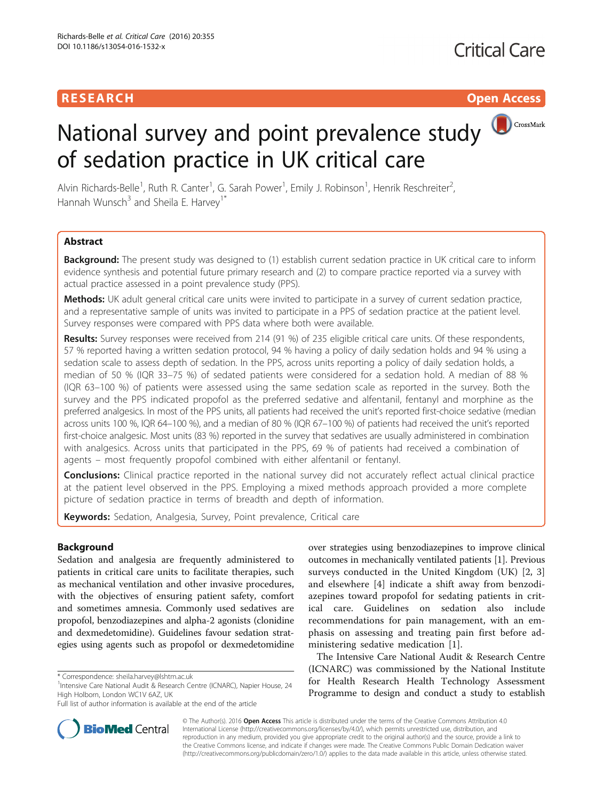# **RESEARCH CHE Open Access**

# CrossMark

# National survey and point prevalence study of sedation practice in UK critical care

Alvin Richards-Belle<sup>1</sup>, Ruth R. Canter<sup>1</sup>, G. Sarah Power<sup>1</sup>, Emily J. Robinson<sup>1</sup>, Henrik Reschreiter<sup>2</sup> , Hannah Wunsch<sup>3</sup> and Sheila E. Harvev<sup>1\*</sup>

# Abstract

Background: The present study was designed to (1) establish current sedation practice in UK critical care to inform evidence synthesis and potential future primary research and (2) to compare practice reported via a survey with actual practice assessed in a point prevalence study (PPS).

Methods: UK adult general critical care units were invited to participate in a survey of current sedation practice, and a representative sample of units was invited to participate in a PPS of sedation practice at the patient level. Survey responses were compared with PPS data where both were available.

Results: Survey responses were received from 214 (91 %) of 235 eligible critical care units. Of these respondents, 57 % reported having a written sedation protocol, 94 % having a policy of daily sedation holds and 94 % using a sedation scale to assess depth of sedation. In the PPS, across units reporting a policy of daily sedation holds, a median of 50 % (IQR 33–75 %) of sedated patients were considered for a sedation hold. A median of 88 % (IQR 63–100 %) of patients were assessed using the same sedation scale as reported in the survey. Both the survey and the PPS indicated propofol as the preferred sedative and alfentanil, fentanyl and morphine as the preferred analgesics. In most of the PPS units, all patients had received the unit's reported first-choice sedative (median across units 100 %, IQR 64–100 %), and a median of 80 % (IQR 67–100 %) of patients had received the unit's reported first-choice analgesic. Most units (83 %) reported in the survey that sedatives are usually administered in combination with analgesics. Across units that participated in the PPS, 69 % of patients had received a combination of agents – most frequently propofol combined with either alfentanil or fentanyl.

Conclusions: Clinical practice reported in the national survey did not accurately reflect actual clinical practice at the patient level observed in the PPS. Employing a mixed methods approach provided a more complete picture of sedation practice in terms of breadth and depth of information.

Keywords: Sedation, Analgesia, Survey, Point prevalence, Critical care

# Background

Sedation and analgesia are frequently administered to patients in critical care units to facilitate therapies, such as mechanical ventilation and other invasive procedures, with the objectives of ensuring patient safety, comfort and sometimes amnesia. Commonly used sedatives are propofol, benzodiazepines and alpha-2 agonists (clonidine and dexmedetomidine). Guidelines favour sedation strategies using agents such as propofol or dexmedetomidine

over strategies using benzodiazepines to improve clinical outcomes in mechanically ventilated patients [\[1](#page-7-0)]. Previous surveys conducted in the United Kingdom (UK) [[2](#page-7-0), [3](#page-7-0)] and elsewhere [\[4](#page-7-0)] indicate a shift away from benzodiazepines toward propofol for sedating patients in critical care. Guidelines on sedation also include recommendations for pain management, with an emphasis on assessing and treating pain first before administering sedative medication [[1\]](#page-7-0).

The Intensive Care National Audit & Research Centre (ICNARC) was commissioned by the National Institute for Health Research Health Technology Assessment Programme to design and conduct a study to establish



© The Author(s). 2016 Open Access This article is distributed under the terms of the Creative Commons Attribution 4.0 International License [\(http://creativecommons.org/licenses/by/4.0/](http://creativecommons.org/licenses/by/4.0/)), which permits unrestricted use, distribution, and reproduction in any medium, provided you give appropriate credit to the original author(s) and the source, provide a link to the Creative Commons license, and indicate if changes were made. The Creative Commons Public Domain Dedication waiver [\(http://creativecommons.org/publicdomain/zero/1.0/](http://creativecommons.org/publicdomain/zero/1.0/)) applies to the data made available in this article, unless otherwise stated.

<sup>\*</sup> Correspondence: [sheila.harvey@lshtm.ac.uk](mailto:sheila.harvey@lshtm.ac.uk) <sup>1</sup>

<sup>&</sup>lt;sup>1</sup>Intensive Care National Audit & Research Centre (ICNARC), Napier House, 24 High Holborn, London WC1V 6AZ, UK

Full list of author information is available at the end of the article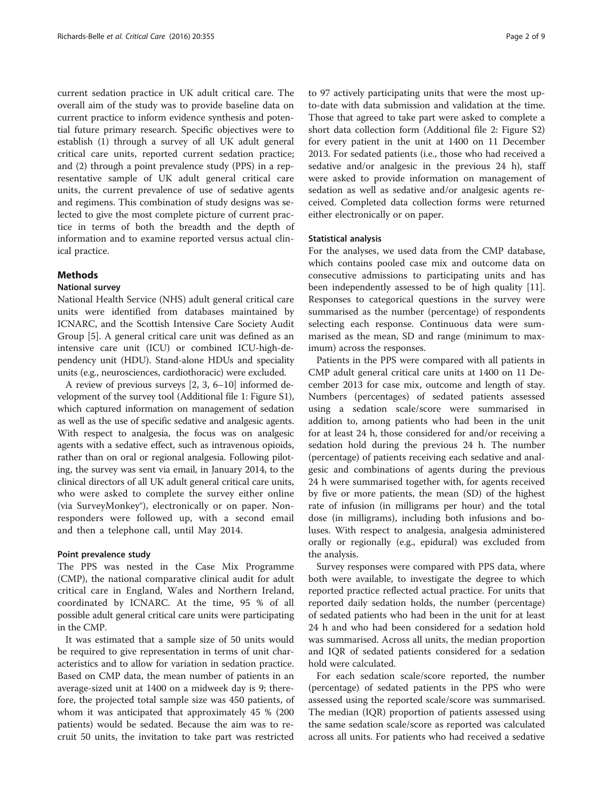current sedation practice in UK adult critical care. The overall aim of the study was to provide baseline data on current practice to inform evidence synthesis and potential future primary research. Specific objectives were to establish (1) through a survey of all UK adult general critical care units, reported current sedation practice; and (2) through a point prevalence study (PPS) in a representative sample of UK adult general critical care units, the current prevalence of use of sedative agents and regimens. This combination of study designs was selected to give the most complete picture of current practice in terms of both the breadth and the depth of information and to examine reported versus actual clinical practice.

# Methods

# National survey

National Health Service (NHS) adult general critical care units were identified from databases maintained by ICNARC, and the Scottish Intensive Care Society Audit Group [[5\]](#page-7-0). A general critical care unit was defined as an intensive care unit (ICU) or combined ICU-high-dependency unit (HDU). Stand-alone HDUs and speciality units (e.g., neurosciences, cardiothoracic) were excluded.

A review of previous surveys [[2](#page-7-0), [3, 6](#page-7-0)–[10\]](#page-7-0) informed development of the survey tool (Additional file [1:](#page-6-0) Figure S1), which captured information on management of sedation as well as the use of specific sedative and analgesic agents. With respect to analgesia, the focus was on analgesic agents with a sedative effect, such as intravenous opioids, rather than on oral or regional analgesia. Following piloting, the survey was sent via email, in January 2014, to the clinical directors of all UK adult general critical care units, who were asked to complete the survey either online (via SurveyMonkey®), electronically or on paper. Nonresponders were followed up, with a second email and then a telephone call, until May 2014.

### Point prevalence study

The PPS was nested in the Case Mix Programme (CMP), the national comparative clinical audit for adult critical care in England, Wales and Northern Ireland, coordinated by ICNARC. At the time, 95 % of all possible adult general critical care units were participating in the CMP.

It was estimated that a sample size of 50 units would be required to give representation in terms of unit characteristics and to allow for variation in sedation practice. Based on CMP data, the mean number of patients in an average-sized unit at 1400 on a midweek day is 9; therefore, the projected total sample size was 450 patients, of whom it was anticipated that approximately 45 % (200 patients) would be sedated. Because the aim was to recruit 50 units, the invitation to take part was restricted to 97 actively participating units that were the most upto-date with data submission and validation at the time. Those that agreed to take part were asked to complete a short data collection form (Additional file [2:](#page-6-0) Figure S2) for every patient in the unit at 1400 on 11 December 2013. For sedated patients (i.e., those who had received a sedative and/or analgesic in the previous 24 h), staff were asked to provide information on management of sedation as well as sedative and/or analgesic agents received. Completed data collection forms were returned either electronically or on paper.

#### Statistical analysis

For the analyses, we used data from the CMP database, which contains pooled case mix and outcome data on consecutive admissions to participating units and has been independently assessed to be of high quality [\[11](#page-7-0)]. Responses to categorical questions in the survey were summarised as the number (percentage) of respondents selecting each response. Continuous data were summarised as the mean, SD and range (minimum to maximum) across the responses.

Patients in the PPS were compared with all patients in CMP adult general critical care units at 1400 on 11 December 2013 for case mix, outcome and length of stay. Numbers (percentages) of sedated patients assessed using a sedation scale/score were summarised in addition to, among patients who had been in the unit for at least 24 h, those considered for and/or receiving a sedation hold during the previous 24 h. The number (percentage) of patients receiving each sedative and analgesic and combinations of agents during the previous 24 h were summarised together with, for agents received by five or more patients, the mean (SD) of the highest rate of infusion (in milligrams per hour) and the total dose (in milligrams), including both infusions and boluses. With respect to analgesia, analgesia administered orally or regionally (e.g., epidural) was excluded from the analysis.

Survey responses were compared with PPS data, where both were available, to investigate the degree to which reported practice reflected actual practice. For units that reported daily sedation holds, the number (percentage) of sedated patients who had been in the unit for at least 24 h and who had been considered for a sedation hold was summarised. Across all units, the median proportion and IQR of sedated patients considered for a sedation hold were calculated.

For each sedation scale/score reported, the number (percentage) of sedated patients in the PPS who were assessed using the reported scale/score was summarised. The median (IQR) proportion of patients assessed using the same sedation scale/score as reported was calculated across all units. For patients who had received a sedative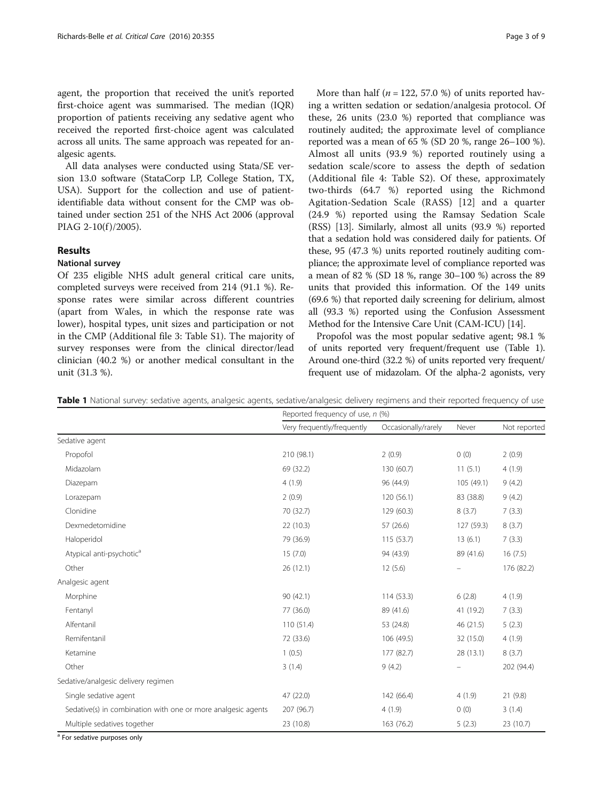<span id="page-2-0"></span>agent, the proportion that received the unit's reported first-choice agent was summarised. The median (IQR) proportion of patients receiving any sedative agent who received the reported first-choice agent was calculated across all units. The same approach was repeated for analgesic agents.

All data analyses were conducted using Stata/SE version 13.0 software (StataCorp LP, College Station, TX, USA). Support for the collection and use of patientidentifiable data without consent for the CMP was obtained under section 251 of the NHS Act 2006 (approval PIAG  $2-10(f)/2005$ ).

# Results

# National survey

Of 235 eligible NHS adult general critical care units, completed surveys were received from 214 (91.1 %). Response rates were similar across different countries (apart from Wales, in which the response rate was lower), hospital types, unit sizes and participation or not in the CMP (Additional file [3:](#page-6-0) Table S1). The majority of survey responses were from the clinical director/lead clinician (40.2 %) or another medical consultant in the unit (31.3 %).

More than half ( $n = 122, 57.0$  %) of units reported having a written sedation or sedation/analgesia protocol. Of these, 26 units (23.0 %) reported that compliance was routinely audited; the approximate level of compliance reported was a mean of 65 % (SD 20 %, range 26–100 %). Almost all units (93.9 %) reported routinely using a sedation scale/score to assess the depth of sedation (Additional file [4:](#page-6-0) Table S2). Of these, approximately two-thirds (64.7 %) reported using the Richmond Agitation-Sedation Scale (RASS) [\[12](#page-7-0)] and a quarter (24.9 %) reported using the Ramsay Sedation Scale (RSS) [[13](#page-7-0)]. Similarly, almost all units (93.9 %) reported that a sedation hold was considered daily for patients. Of these, 95 (47.3 %) units reported routinely auditing compliance; the approximate level of compliance reported was a mean of 82 % (SD 18 %, range 30–100 %) across the 89 units that provided this information. Of the 149 units (69.6 %) that reported daily screening for delirium, almost all (93.3 %) reported using the Confusion Assessment Method for the Intensive Care Unit (CAM-ICU) [\[14](#page-7-0)].

Propofol was the most popular sedative agent; 98.1 % of units reported very frequent/frequent use (Table 1). Around one-third (32.2 %) of units reported very frequent/ frequent use of midazolam. Of the alpha-2 agonists, very

Table 1 National survey: sedative agents, analgesic agents, sedative/analgesic delivery regimens and their reported frequency of use

|                                                              | Reported frequency of use, n (%) |                     |            |              |
|--------------------------------------------------------------|----------------------------------|---------------------|------------|--------------|
|                                                              | Very frequently/frequently       | Occasionally/rarely | Never      | Not reported |
| Sedative agent                                               |                                  |                     |            |              |
| Propofol                                                     | 210 (98.1)                       | 2(0.9)              | 0(0)       | 2(0.9)       |
| Midazolam                                                    | 69 (32.2)                        | 130 (60.7)          | 11(5.1)    | 4(1.9)       |
| Diazepam                                                     | 4(1.9)                           | 96 (44.9)           | 105 (49.1) | 9(4.2)       |
| Lorazepam                                                    | 2(0.9)                           | 120 (56.1)          | 83 (38.8)  | 9(4.2)       |
| Clonidine                                                    | 70 (32.7)                        | 129 (60.3)          | 8(3.7)     | 7(3.3)       |
| Dexmedetomidine                                              | 22 (10.3)                        | 57 (26.6)           | 127 (59.3) | 8(3.7)       |
| Haloperidol                                                  | 79 (36.9)                        | 115 (53.7)          | 13(6.1)    | 7(3.3)       |
| Atypical anti-psychotic <sup>a</sup>                         | 15(7.0)                          | 94 (43.9)           | 89 (41.6)  | 16(7.5)      |
| Other                                                        | 26 (12.1)                        | 12(5.6)             |            | 176 (82.2)   |
| Analgesic agent                                              |                                  |                     |            |              |
| Morphine                                                     | 90 (42.1)                        | 114 (53.3)          | 6(2.8)     | 4(1.9)       |
| Fentanyl                                                     | 77 (36.0)                        | 89 (41.6)           | 41 (19.2)  | 7(3.3)       |
| Alfentanil                                                   | 110 (51.4)                       | 53 (24.8)           | 46 (21.5)  | 5(2.3)       |
| Remifentanil                                                 | 72 (33.6)                        | 106 (49.5)          | 32 (15.0)  | 4(1.9)       |
| Ketamine                                                     | 1(0.5)                           | 177 (82.7)          | 28 (13.1)  | 8(3.7)       |
| Other                                                        | 3(1.4)                           | 9(4.2)              |            | 202 (94.4)   |
| Sedative/analgesic delivery regimen                          |                                  |                     |            |              |
| Single sedative agent                                        | 47 (22.0)                        | 142 (66.4)          | 4(1.9)     | 21(9.8)      |
| Sedative(s) in combination with one or more analgesic agents | 207 (96.7)                       | 4(1.9)              | 0(0)       | 3(1.4)       |
| Multiple sedatives together                                  | 23 (10.8)                        | 163 (76.2)          | 5(2.3)     | 23 (10.7)    |

For sedative purposes only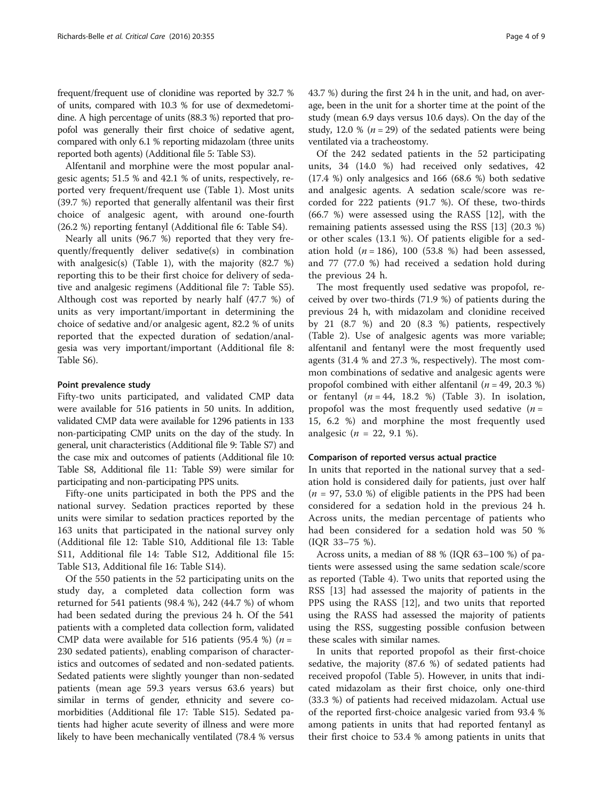frequent/frequent use of clonidine was reported by 32.7 % of units, compared with 10.3 % for use of dexmedetomidine. A high percentage of units (88.3 %) reported that propofol was generally their first choice of sedative agent, compared with only 6.1 % reporting midazolam (three units reported both agents) (Additional file [5:](#page-6-0) Table S3).

Alfentanil and morphine were the most popular analgesic agents; 51.5 % and 42.1 % of units, respectively, reported very frequent/frequent use (Table [1\)](#page-2-0). Most units (39.7 %) reported that generally alfentanil was their first choice of analgesic agent, with around one-fourth (26.2 %) reporting fentanyl (Additional file [6:](#page-7-0) Table S4).

Nearly all units (96.7 %) reported that they very frequently/frequently deliver sedative(s) in combination with analgesic(s) (Table [1](#page-2-0)), with the majority (82.7 %) reporting this to be their first choice for delivery of sedative and analgesic regimens (Additional file [7](#page-7-0): Table S5). Although cost was reported by nearly half (47.7 %) of units as very important/important in determining the choice of sedative and/or analgesic agent, 82.2 % of units reported that the expected duration of sedation/analgesia was very important/important (Additional file [8](#page-7-0): Table S6).

# Point prevalence study

Fifty-two units participated, and validated CMP data were available for 516 patients in 50 units. In addition, validated CMP data were available for 1296 patients in 133 non-participating CMP units on the day of the study. In general, unit characteristics (Additional file [9](#page-7-0): Table S7) and the case mix and outcomes of patients (Additional file [10](#page-7-0): Table S8, Additional file [11:](#page-7-0) Table S9) were similar for participating and non-participating PPS units.

Fifty-one units participated in both the PPS and the national survey. Sedation practices reported by these units were similar to sedation practices reported by the 163 units that participated in the national survey only (Additional file [12:](#page-7-0) Table S10, Additional file [13:](#page-7-0) Table S11, Additional file [14](#page-7-0): Table S12, Additional file [15](#page-7-0): Table S13, Additional file [16:](#page-7-0) Table S14).

Of the 550 patients in the 52 participating units on the study day, a completed data collection form was returned for 541 patients (98.4 %), 242 (44.7 %) of whom had been sedated during the previous 24 h. Of the 541 patients with a completed data collection form, validated CMP data were available for 516 patients (95.4 %) ( $n =$ 230 sedated patients), enabling comparison of characteristics and outcomes of sedated and non-sedated patients. Sedated patients were slightly younger than non-sedated patients (mean age 59.3 years versus 63.6 years) but similar in terms of gender, ethnicity and severe comorbidities (Additional file [17:](#page-7-0) Table S15). Sedated patients had higher acute severity of illness and were more likely to have been mechanically ventilated (78.4 % versus 43.7 %) during the first 24 h in the unit, and had, on average, been in the unit for a shorter time at the point of the study (mean 6.9 days versus 10.6 days). On the day of the study, 12.0 % ( $n = 29$ ) of the sedated patients were being ventilated via a tracheostomy.

Of the 242 sedated patients in the 52 participating units, 34 (14.0 %) had received only sedatives, 42 (17.4 %) only analgesics and 166 (68.6 %) both sedative and analgesic agents. A sedation scale/score was recorded for 222 patients (91.7 %). Of these, two-thirds (66.7 %) were assessed using the RASS [[12\]](#page-7-0), with the remaining patients assessed using the RSS [\[13\]](#page-7-0) (20.3 %) or other scales (13.1 %). Of patients eligible for a sedation hold  $(n = 186)$ , 100 (53.8 %) had been assessed, and 77 (77.0 %) had received a sedation hold during the previous 24 h.

The most frequently used sedative was propofol, received by over two-thirds (71.9 %) of patients during the previous 24 h, with midazolam and clonidine received by 21 (8.7 %) and 20 (8.3 %) patients, respectively (Table [2](#page-4-0)). Use of analgesic agents was more variable; alfentanil and fentanyl were the most frequently used agents (31.4 % and 27.3 %, respectively). The most common combinations of sedative and analgesic agents were propofol combined with either alfentanil ( $n = 49, 20.3 %$ ) or fentanyl  $(n = 44, 18.2 \%)$  (Table [3\)](#page-4-0). In isolation, propofol was the most frequently used sedative  $(n =$ 15, 6.2 %) and morphine the most frequently used analgesic ( $n = 22, 9.1 %$ ).

### Comparison of reported versus actual practice

In units that reported in the national survey that a sedation hold is considered daily for patients, just over half  $(n = 97, 53.0 \%)$  of eligible patients in the PPS had been considered for a sedation hold in the previous 24 h. Across units, the median percentage of patients who had been considered for a sedation hold was 50 % (IQR 33–75 %).

Across units, a median of 88 % (IQR 63–100 %) of patients were assessed using the same sedation scale/score as reported (Table [4](#page-5-0)). Two units that reported using the RSS [\[13\]](#page-7-0) had assessed the majority of patients in the PPS using the RASS [[12\]](#page-7-0), and two units that reported using the RASS had assessed the majority of patients using the RSS, suggesting possible confusion between these scales with similar names.

In units that reported propofol as their first-choice sedative, the majority (87.6 %) of sedated patients had received propofol (Table [5\)](#page-5-0). However, in units that indicated midazolam as their first choice, only one-third (33.3 %) of patients had received midazolam. Actual use of the reported first-choice analgesic varied from 93.4 % among patients in units that had reported fentanyl as their first choice to 53.4 % among patients in units that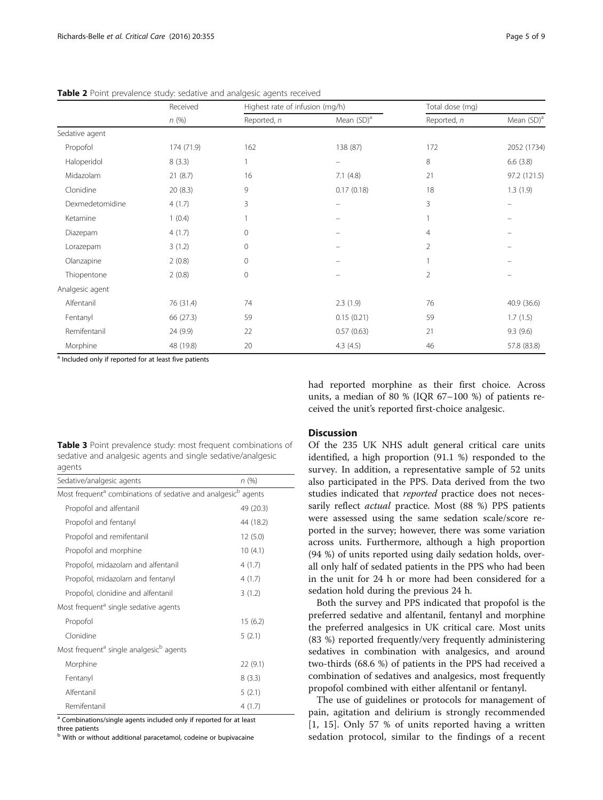|                 | Received   | Highest rate of infusion (mg/h) |                          | Total dose (mg) |                        |
|-----------------|------------|---------------------------------|--------------------------|-----------------|------------------------|
|                 | n(%)       | Reported, n                     | Mean $(SD)^a$            | Reported, n     | Mean (SD) <sup>a</sup> |
| Sedative agent  |            |                                 |                          |                 |                        |
| Propofol        | 174 (71.9) | 162                             | 138 (87)                 | 172             | 2052 (1734)            |
| Haloperidol     | 8(3.3)     |                                 | $\overline{\phantom{0}}$ | 8               | 6.6(3.8)               |
| Midazolam       | 21(8.7)    | 16                              | 7.1(4.8)                 | 21              | 97.2 (121.5)           |
| Clonidine       | 20 (8.3)   | 9                               | 0.17(0.18)               | 18              | 1.3(1.9)               |
| Dexmedetomidine | 4(1.7)     | 3                               |                          | 3               | -                      |
| Ketamine        | 1(0.4)     |                                 |                          |                 |                        |
| Diazepam        | 4(1.7)     | 0                               |                          | 4               |                        |
| Lorazepam       | 3(1.2)     | 0                               |                          | 2               |                        |
| Olanzapine      | 2(0.8)     | 0                               |                          |                 | $\equiv$               |
| Thiopentone     | 2(0.8)     | 0                               |                          | $\overline{2}$  |                        |
| Analgesic agent |            |                                 |                          |                 |                        |
| Alfentanil      | 76 (31.4)  | 74                              | 2.3(1.9)                 | 76              | 40.9 (36.6)            |
| Fentanyl        | 66 (27.3)  | 59                              | 0.15(0.21)               | 59              | 1.7(1.5)               |
| Remifentanil    | 24 (9.9)   | 22                              | 0.57(0.63)               | 21              | 9.3(9.6)               |
| Morphine        | 48 (19.8)  | 20                              | 4.3(4.5)                 | 46              | 57.8 (83.8)            |

<span id="page-4-0"></span>Table 2 Point prevalence study: sedative and analgesic agents received

<sup>a</sup> Included only if reported for at least five patients

| <b>Table 3</b> Point prevalence study: most frequent combinations of |
|----------------------------------------------------------------------|
| sedative and analgesic agents and single sedative/analgesic          |
| agents                                                               |

| Sedative/analgesic agents                                                             | n(%)      |  |  |
|---------------------------------------------------------------------------------------|-----------|--|--|
| Most frequent <sup>a</sup> combinations of sedative and analgesic <sup>b</sup> agents |           |  |  |
| Propofol and alfentanil                                                               | 49 (20.3) |  |  |
| Propofol and fentanyl                                                                 | 44 (18.2) |  |  |
| Propofol and remifentanil                                                             | 12(5.0)   |  |  |
| Propofol and morphine                                                                 | 10(4.1)   |  |  |
| Propofol, midazolam and alfentanil                                                    | 4(1.7)    |  |  |
| Propofol, midazolam and fentanyl                                                      | 4(1.7)    |  |  |
| Propofol, clonidine and alfentanil                                                    | 3(1.2)    |  |  |
| Most frequent <sup>a</sup> single sedative agents                                     |           |  |  |
| Propofol                                                                              | 15(6.2)   |  |  |
| Clonidine                                                                             | 5(2.1)    |  |  |
| Most frequent <sup>a</sup> single analgesic <sup>b</sup> agents                       |           |  |  |
| Morphine                                                                              | 22(9.1)   |  |  |
| Fentanyl                                                                              | 8(3.3)    |  |  |
| Alfentanil                                                                            | 5(2.1)    |  |  |
| Remifentanil                                                                          | 4(1.7)    |  |  |

<sup>a</sup> Combinations/single agents included only if reported for at least three patients

b With or without additional paracetamol, codeine or bupivacaine

had reported morphine as their first choice. Across units, a median of 80 % (IQR 67–100 %) of patients received the unit's reported first-choice analgesic.

# Discussion

Of the 235 UK NHS adult general critical care units identified, a high proportion (91.1 %) responded to the survey. In addition, a representative sample of 52 units also participated in the PPS. Data derived from the two studies indicated that reported practice does not necessarily reflect *actual* practice. Most (88 %) PPS patients were assessed using the same sedation scale/score reported in the survey; however, there was some variation across units. Furthermore, although a high proportion (94 %) of units reported using daily sedation holds, overall only half of sedated patients in the PPS who had been in the unit for 24 h or more had been considered for a sedation hold during the previous 24 h.

Both the survey and PPS indicated that propofol is the preferred sedative and alfentanil, fentanyl and morphine the preferred analgesics in UK critical care. Most units (83 %) reported frequently/very frequently administering sedatives in combination with analgesics, and around two-thirds (68.6 %) of patients in the PPS had received a combination of sedatives and analgesics, most frequently propofol combined with either alfentanil or fentanyl.

The use of guidelines or protocols for management of pain, agitation and delirium is strongly recommended [[1](#page-7-0), [15\]](#page-8-0). Only 57 % of units reported having a written sedation protocol, similar to the findings of a recent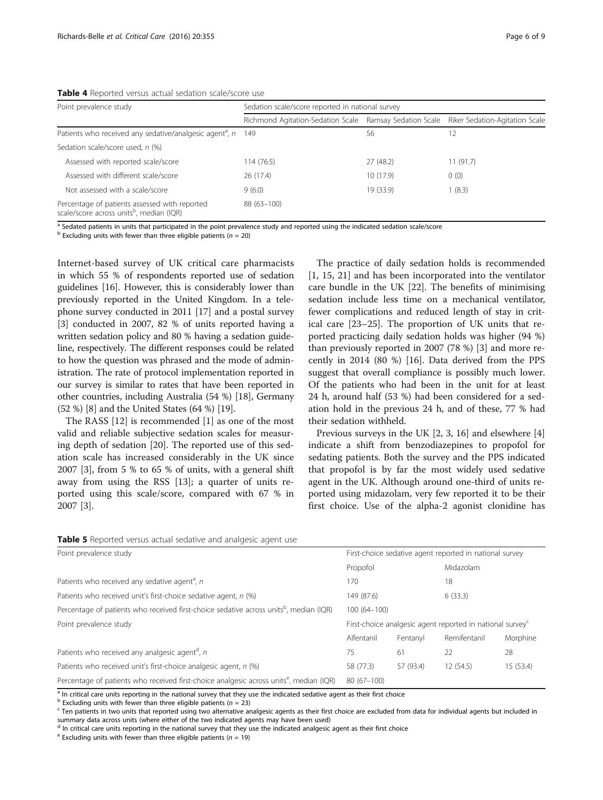#### <span id="page-5-0"></span>Table 4 Reported versus actual sedation scale/score use

| Point prevalence study                                                                                | Sedation scale/score reported in national survey        |           |                                |  |
|-------------------------------------------------------------------------------------------------------|---------------------------------------------------------|-----------|--------------------------------|--|
|                                                                                                       | Richmond Agitation-Sedation Scale Ramsay Sedation Scale |           | Riker Sedation-Agitation Scale |  |
| Patients who received any sedative/analgesic agent <sup>a</sup> , $n = 149$                           |                                                         | 56        |                                |  |
| Sedation scale/score used, n (%)                                                                      |                                                         |           |                                |  |
| Assessed with reported scale/score                                                                    | 114 (76.5)                                              | 27 (48.2) | 11(91.7)                       |  |
| Assessed with different scale/score                                                                   | 26 (17.4)                                               | 10 (17.9) | 0(0)                           |  |
| Not assessed with a scale/score                                                                       | 9(6.0)                                                  | 19 (33.9) | 1(8.3)                         |  |
| Percentage of patients assessed with reported<br>scale/score across units <sup>b</sup> , median (IQR) | 88 (63-100)                                             |           |                                |  |

a Sedated patients in units that participated in the point prevalence study and reported using the indicated sedation scale/score

 $b$  Excluding units with fewer than three eligible patients ( $n = 20$ )

Internet-based survey of UK critical care pharmacists in which 55 % of respondents reported use of sedation guidelines [[16](#page-8-0)]. However, this is considerably lower than previously reported in the United Kingdom. In a telephone survey conducted in 2011 [\[17\]](#page-8-0) and a postal survey [[3\]](#page-7-0) conducted in 2007, 82 % of units reported having a written sedation policy and 80 % having a sedation guideline, respectively. The different responses could be related to how the question was phrased and the mode of administration. The rate of protocol implementation reported in our survey is similar to rates that have been reported in other countries, including Australia (54 %) [\[18](#page-8-0)], Germany (52 %) [[8](#page-7-0)] and the United States (64 %) [[19](#page-8-0)].

The RASS [\[12](#page-7-0)] is recommended [\[1](#page-7-0)] as one of the most valid and reliable subjective sedation scales for measuring depth of sedation [\[20\]](#page-8-0). The reported use of this sedation scale has increased considerably in the UK since 2007 [[3\]](#page-7-0), from 5 % to 65 % of units, with a general shift away from using the RSS [[13\]](#page-7-0); a quarter of units reported using this scale/score, compared with 67 % in 2007 [\[3](#page-7-0)].

The practice of daily sedation holds is recommended [[1,](#page-7-0) [15](#page-8-0), [21](#page-8-0)] and has been incorporated into the ventilator care bundle in the UK [\[22](#page-8-0)]. The benefits of minimising sedation include less time on a mechanical ventilator, fewer complications and reduced length of stay in critical care [\[23](#page-8-0)–[25\]](#page-8-0). The proportion of UK units that reported practicing daily sedation holds was higher (94 %) than previously reported in 2007 (78 %) [[3\]](#page-7-0) and more recently in 2014 (80 %) [\[16](#page-8-0)]. Data derived from the PPS suggest that overall compliance is possibly much lower. Of the patients who had been in the unit for at least 24 h, around half (53 %) had been considered for a sedation hold in the previous 24 h, and of these, 77 % had their sedation withheld.

Previous surveys in the UK [[2](#page-7-0), [3](#page-7-0), [16](#page-8-0)] and elsewhere [\[4](#page-7-0)] indicate a shift from benzodiazepines to propofol for sedating patients. Both the survey and the PPS indicated that propofol is by far the most widely used sedative agent in the UK. Although around one-third of units reported using midazolam, very few reported it to be their first choice. Use of the alpha-2 agonist clonidine has

| Table 5 Reported versus actual sedative and analgesic agent use |  |  |  |  |
|-----------------------------------------------------------------|--|--|--|--|
|-----------------------------------------------------------------|--|--|--|--|

| Point prevalence study                                                                              | First-choice sedative agent reported in national survey               |           |              |           |
|-----------------------------------------------------------------------------------------------------|-----------------------------------------------------------------------|-----------|--------------|-----------|
|                                                                                                     | Propofol                                                              |           | Midazolam    |           |
| Patients who received any sedative agent <sup>a</sup> , $n$                                         | 170                                                                   |           | 18           |           |
| Patients who received unit's first-choice sedative agent, n (%)                                     | 149 (87.6)                                                            |           | 6(33.3)      |           |
| Percentage of patients who received first-choice sedative across units <sup>b</sup> , median (IQR)  | $100(64 - 100)$                                                       |           |              |           |
| Point prevalence study                                                                              | First-choice analgesic agent reported in national survey <sup>c</sup> |           |              |           |
|                                                                                                     | Alfentanil                                                            | Fentanyl  | Remifentanil | Morphine  |
| Patients who received any analgesic agent <sup>d</sup> , $n$                                        | 75                                                                    | 61        | 22           | 28        |
| Patients who received unit's first-choice analgesic agent, n (%)                                    | 58 (77.3)                                                             | 57 (93.4) | 12 (54.5)    | 15 (53.4) |
| Percentage of patients who received first-choice analgesic across units <sup>e</sup> , median (IQR) | $80(67-100)$                                                          |           |              |           |

<sup>a</sup> In critical care units reporting in the national survey that they use the indicated sedative agent as their first choice  $b$  Excluding units with fewer than three eligible patients ( $n = 23$ )

" Ten patients in two units that reported using two alternative analgesic agents as their first choice are excluded from data for individual agents but included in summary data across units (where either of the two indicated agents may have been used)

 $\frac{d}{dx}$  In critical care units reporting in the national survey that they use the indicated analgesic agent as their first choice

 $e$  Excluding units with fewer than three eligible patients ( $n = 19$ )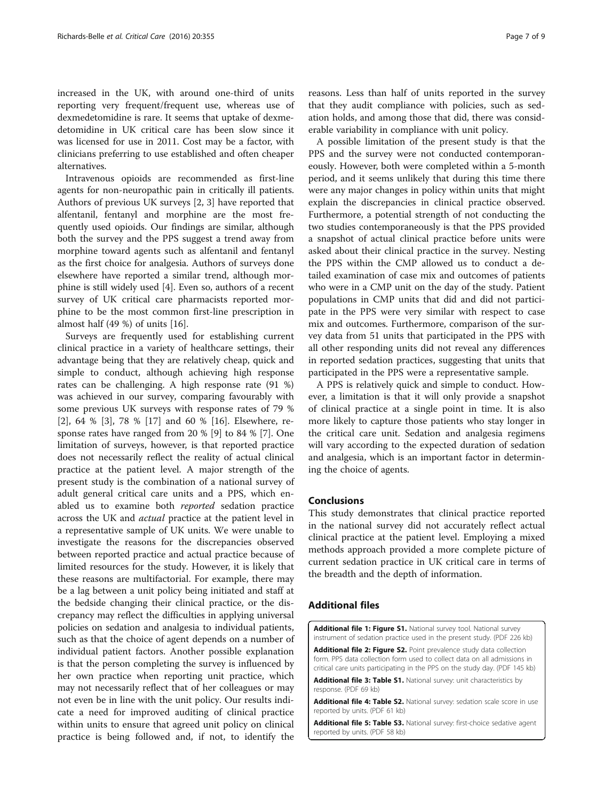<span id="page-6-0"></span>increased in the UK, with around one-third of units reporting very frequent/frequent use, whereas use of dexmedetomidine is rare. It seems that uptake of dexmedetomidine in UK critical care has been slow since it was licensed for use in 2011. Cost may be a factor, with clinicians preferring to use established and often cheaper alternatives.

Intravenous opioids are recommended as first-line agents for non-neuropathic pain in critically ill patients. Authors of previous UK surveys [\[2](#page-7-0), [3](#page-7-0)] have reported that alfentanil, fentanyl and morphine are the most frequently used opioids. Our findings are similar, although both the survey and the PPS suggest a trend away from morphine toward agents such as alfentanil and fentanyl as the first choice for analgesia. Authors of surveys done elsewhere have reported a similar trend, although morphine is still widely used [\[4](#page-7-0)]. Even so, authors of a recent survey of UK critical care pharmacists reported morphine to be the most common first-line prescription in almost half (49 %) of units [\[16\]](#page-8-0).

Surveys are frequently used for establishing current clinical practice in a variety of healthcare settings, their advantage being that they are relatively cheap, quick and simple to conduct, although achieving high response rates can be challenging. A high response rate (91 %) was achieved in our survey, comparing favourably with some previous UK surveys with response rates of 79 % [[2\]](#page-7-0), 64 % [\[3](#page-7-0)], 78 % [\[17](#page-8-0)] and 60 % [[16\]](#page-8-0). Elsewhere, response rates have ranged from 20 % [\[9](#page-7-0)] to 84 % [[7\]](#page-7-0). One limitation of surveys, however, is that reported practice does not necessarily reflect the reality of actual clinical practice at the patient level. A major strength of the present study is the combination of a national survey of adult general critical care units and a PPS, which enabled us to examine both reported sedation practice across the UK and actual practice at the patient level in a representative sample of UK units. We were unable to investigate the reasons for the discrepancies observed between reported practice and actual practice because of limited resources for the study. However, it is likely that these reasons are multifactorial. For example, there may be a lag between a unit policy being initiated and staff at the bedside changing their clinical practice, or the discrepancy may reflect the difficulties in applying universal policies on sedation and analgesia to individual patients, such as that the choice of agent depends on a number of individual patient factors. Another possible explanation is that the person completing the survey is influenced by her own practice when reporting unit practice, which may not necessarily reflect that of her colleagues or may not even be in line with the unit policy. Our results indicate a need for improved auditing of clinical practice within units to ensure that agreed unit policy on clinical practice is being followed and, if not, to identify the reasons. Less than half of units reported in the survey that they audit compliance with policies, such as sedation holds, and among those that did, there was considerable variability in compliance with unit policy.

A possible limitation of the present study is that the PPS and the survey were not conducted contemporaneously. However, both were completed within a 5-month period, and it seems unlikely that during this time there were any major changes in policy within units that might explain the discrepancies in clinical practice observed. Furthermore, a potential strength of not conducting the two studies contemporaneously is that the PPS provided a snapshot of actual clinical practice before units were asked about their clinical practice in the survey. Nesting the PPS within the CMP allowed us to conduct a detailed examination of case mix and outcomes of patients who were in a CMP unit on the day of the study. Patient populations in CMP units that did and did not participate in the PPS were very similar with respect to case mix and outcomes. Furthermore, comparison of the survey data from 51 units that participated in the PPS with all other responding units did not reveal any differences in reported sedation practices, suggesting that units that participated in the PPS were a representative sample.

A PPS is relatively quick and simple to conduct. However, a limitation is that it will only provide a snapshot of clinical practice at a single point in time. It is also more likely to capture those patients who stay longer in the critical care unit. Sedation and analgesia regimens will vary according to the expected duration of sedation and analgesia, which is an important factor in determining the choice of agents.

# Conclusions

This study demonstrates that clinical practice reported in the national survey did not accurately reflect actual clinical practice at the patient level. Employing a mixed methods approach provided a more complete picture of current sedation practice in UK critical care in terms of the breadth and the depth of information.

# Additional files

[Additional file 1: Figure S1.](dx.doi.org/10.1186/s13054-016-1532-x) National survey tool. National survey instrument of sedation practice used in the present study. (PDF 226 kb)

[Additional file 2: Figure S2.](dx.doi.org/10.1186/s13054-016-1532-x) Point prevalence study data collection form. PPS data collection form used to collect data on all admissions in critical care units participating in the PPS on the study day. (PDF 145 kb)

[Additional file 3: Table S1.](dx.doi.org/10.1186/s13054-016-1532-x) National survey: unit characteristics by response. (PDF 69 kb)

[Additional file 4: Table S2.](dx.doi.org/10.1186/s13054-016-1532-x) National survey: sedation scale score in use reported by units. (PDF 61 kb)

[Additional file 5: Table S3.](dx.doi.org/10.1186/s13054-016-1532-x) National survey: first-choice sedative agent reported by units. (PDF 58 kb)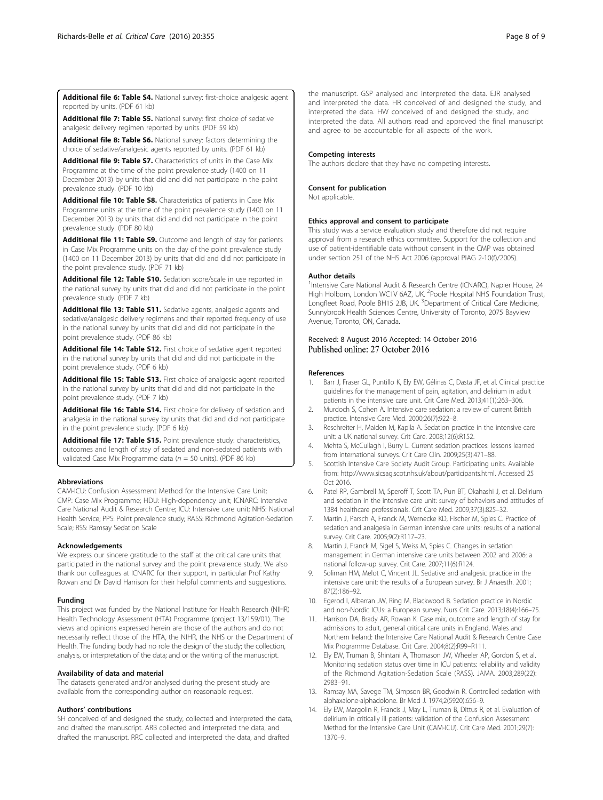<span id="page-7-0"></span>[Additional file 6: Table S4.](dx.doi.org/10.1186/s13054-016-1532-x) National survey: first-choice analgesic agent reported by units. (PDF 61 kb)

[Additional file 7: Table S5.](dx.doi.org/10.1186/s13054-016-1532-x) National survey: first choice of sedative analgesic delivery regimen reported by units. (PDF 59 kb)

[Additional file 8: Table S6.](dx.doi.org/10.1186/s13054-016-1532-x) National survey: factors determining the choice of sedative/analgesic agents reported by units. (PDF 61 kb)

[Additional file 9: Table S7.](dx.doi.org/10.1186/s13054-016-1532-x) Characteristics of units in the Case Mix Programme at the time of the point prevalence study (1400 on 11 December 2013) by units that did and did not participate in the point prevalence study. (PDF 10 kb)

[Additional file 10: Table S8.](dx.doi.org/10.1186/s13054-016-1532-x) Characteristics of patients in Case Mix Programme units at the time of the point prevalence study (1400 on 11 December 2013) by units that did and did not participate in the point prevalence study. (PDF 80 kb)

[Additional file 11: Table S9.](dx.doi.org/10.1186/s13054-016-1532-x) Outcome and length of stay for patients in Case Mix Programme units on the day of the point prevalence study (1400 on 11 December 2013) by units that did and did not participate in the point prevalence study. (PDF 71 kb)

[Additional file 12: Table S10.](dx.doi.org/10.1186/s13054-016-1532-x) Sedation score/scale in use reported in the national survey by units that did and did not participate in the point prevalence study. (PDF 7 kb)

[Additional file 13: Table S11.](dx.doi.org/10.1186/s13054-016-1532-x) Sedative agents, analgesic agents and sedative/analgesic delivery regimens and their reported frequency of use in the national survey by units that did and did not participate in the point prevalence study. (PDF 86 kb)

[Additional file 14: Table S12.](dx.doi.org/10.1186/s13054-016-1532-x) First choice of sedative agent reported in the national survey by units that did and did not participate in the point prevalence study. (PDF 6 kb)

[Additional file 15: Table S13.](dx.doi.org/10.1186/s13054-016-1532-x) First choice of analgesic agent reported in the national survey by units that did and did not participate in the point prevalence study. (PDF 7 kb)

[Additional file 16: Table S14.](dx.doi.org/10.1186/s13054-016-1532-x) First choice for delivery of sedation and analgesia in the national survey by units that did and did not participate in the point prevalence study. (PDF 6 kb)

[Additional file 17: Table S15.](dx.doi.org/10.1186/s13054-016-1532-x) Point prevalence study: characteristics, outcomes and length of stay of sedated and non-sedated patients with validated Case Mix Programme data ( $n = 50$  units). (PDF 86 kb)

#### Abbreviations

CAM-ICU: Confusion Assessment Method for the Intensive Care Unit; CMP: Case Mix Programme; HDU: High-dependency unit; ICNARC: Intensive Care National Audit & Research Centre; ICU: Intensive care unit; NHS: National Health Service; PPS: Point prevalence study; RASS: Richmond Agitation-Sedation Scale; RSS: Ramsay Sedation Scale

#### Acknowledgements

We express our sincere gratitude to the staff at the critical care units that participated in the national survey and the point prevalence study. We also thank our colleagues at ICNARC for their support, in particular Prof Kathy Rowan and Dr David Harrison for their helpful comments and suggestions.

# Funding

This project was funded by the National Institute for Health Research (NIHR) Health Technology Assessment (HTA) Programme (project 13/159/01). The views and opinions expressed herein are those of the authors and do not necessarily reflect those of the HTA, the NIHR, the NHS or the Department of Health. The funding body had no role the design of the study; the collection, analysis, or interpretation of the data; and or the writing of the manuscript.

#### Availability of data and material

The datasets generated and/or analysed during the present study are available from the corresponding author on reasonable request.

## Authors' contributions

SH conceived of and designed the study, collected and interpreted the data, and drafted the manuscript. ARB collected and interpreted the data, and drafted the manuscript. RRC collected and interpreted the data, and drafted

the manuscript. GSP analysed and interpreted the data. EJR analysed and interpreted the data. HR conceived of and designed the study, and interpreted the data. HW conceived of and designed the study, and interpreted the data. All authors read and approved the final manuscript and agree to be accountable for all aspects of the work.

#### Competing interests

The authors declare that they have no competing interests.

#### Consent for publication

Not applicable.

#### Ethics approval and consent to participate

This study was a service evaluation study and therefore did not require approval from a research ethics committee. Support for the collection and use of patient-identifiable data without consent in the CMP was obtained under section 251 of the NHS Act 2006 (approval PIAG 2-10(f)/2005).

#### Author details

<sup>1</sup>Intensive Care National Audit & Research Centre (ICNARC), Napier House, 24 High Holborn, London WC1V 6AZ, UK. <sup>2</sup>Poole Hospital NHS Foundation Trust Longfleet Road, Poole BH15 2JB, UK. <sup>3</sup>Department of Critical Care Medicine, Sunnybrook Health Sciences Centre, University of Toronto, 2075 Bayview Avenue, Toronto, ON, Canada.

# Received: 8 August 2016 Accepted: 14 October 2016 Published online: 27 October 2016

#### References

- 1. Barr J, Fraser GL, Puntillo K, Ely EW, Gélinas C, Dasta JF, et al. Clinical practice guidelines for the management of pain, agitation, and delirium in adult patients in the intensive care unit. Crit Care Med. 2013;41(1):263–306.
- 2. Murdoch S, Cohen A. Intensive care sedation: a review of current British practice. Intensive Care Med. 2000;26(7):922–8.
- 3. Reschreiter H, Maiden M, Kapila A. Sedation practice in the intensive care unit: a UK national survey. Crit Care. 2008;12(6):R152.
- 4. Mehta S, McCullagh I, Burry L. Current sedation practices: lessons learned from international surveys. Crit Care Clin. 2009;25(3):471–88.
- 5. Scottish Intensive Care Society Audit Group. Participating units. Available from: [http://www.sicsag.scot.nhs.uk/about/participants.html.](http://www.sicsag.scot.nhs.uk/about/participants.html) Accessed 25 Oct 2016.
- 6. Patel RP, Gambrell M, Speroff T, Scott TA, Pun BT, Okahashi J, et al. Delirium and sedation in the intensive care unit: survey of behaviors and attitudes of 1384 healthcare professionals. Crit Care Med. 2009;37(3):825–32.
- 7. Martin J, Parsch A, Franck M, Wernecke KD, Fischer M, Spies C. Practice of sedation and analgesia in German intensive care units: results of a national survey. Crit Care. 2005;9(2):R117–23.
- 8. Martin J, Franck M, Sigel S, Weiss M, Spies C. Changes in sedation management in German intensive care units between 2002 and 2006: a national follow-up survey. Crit Care. 2007;11(6):R124.
- 9. Soliman HM, Melot C, Vincent JL. Sedative and analgesic practice in the intensive care unit: the results of a European survey. Br J Anaesth. 2001; 87(2):186–92.
- 10. Egerod I, Albarran JW, Ring M, Blackwood B. Sedation practice in Nordic and non-Nordic ICUs: a European survey. Nurs Crit Care. 2013;18(4):166–75.
- 11. Harrison DA, Brady AR, Rowan K. Case mix, outcome and length of stay for admissions to adult, general critical care units in England, Wales and Northern Ireland: the Intensive Care National Audit & Research Centre Case Mix Programme Database. Crit Care. 2004;8(2):R99–R111.
- 12. Ely EW, Truman B, Shintani A, Thomason JW, Wheeler AP, Gordon S, et al. Monitoring sedation status over time in ICU patients: reliability and validity of the Richmond Agitation-Sedation Scale (RASS). JAMA. 2003;289(22): 2983–91.
- 13. Ramsay MA, Savege TM, Simpson BR, Goodwin R. Controlled sedation with alphaxalone-alphadolone. Br Med J. 1974;2(5920):656–9.
- 14. Ely EW, Margolin R, Francis J, May L, Truman B, Dittus R, et al. Evaluation of delirium in critically ill patients: validation of the Confusion Assessment Method for the Intensive Care Unit (CAM-ICU). Crit Care Med. 2001;29(7): 1370–9.